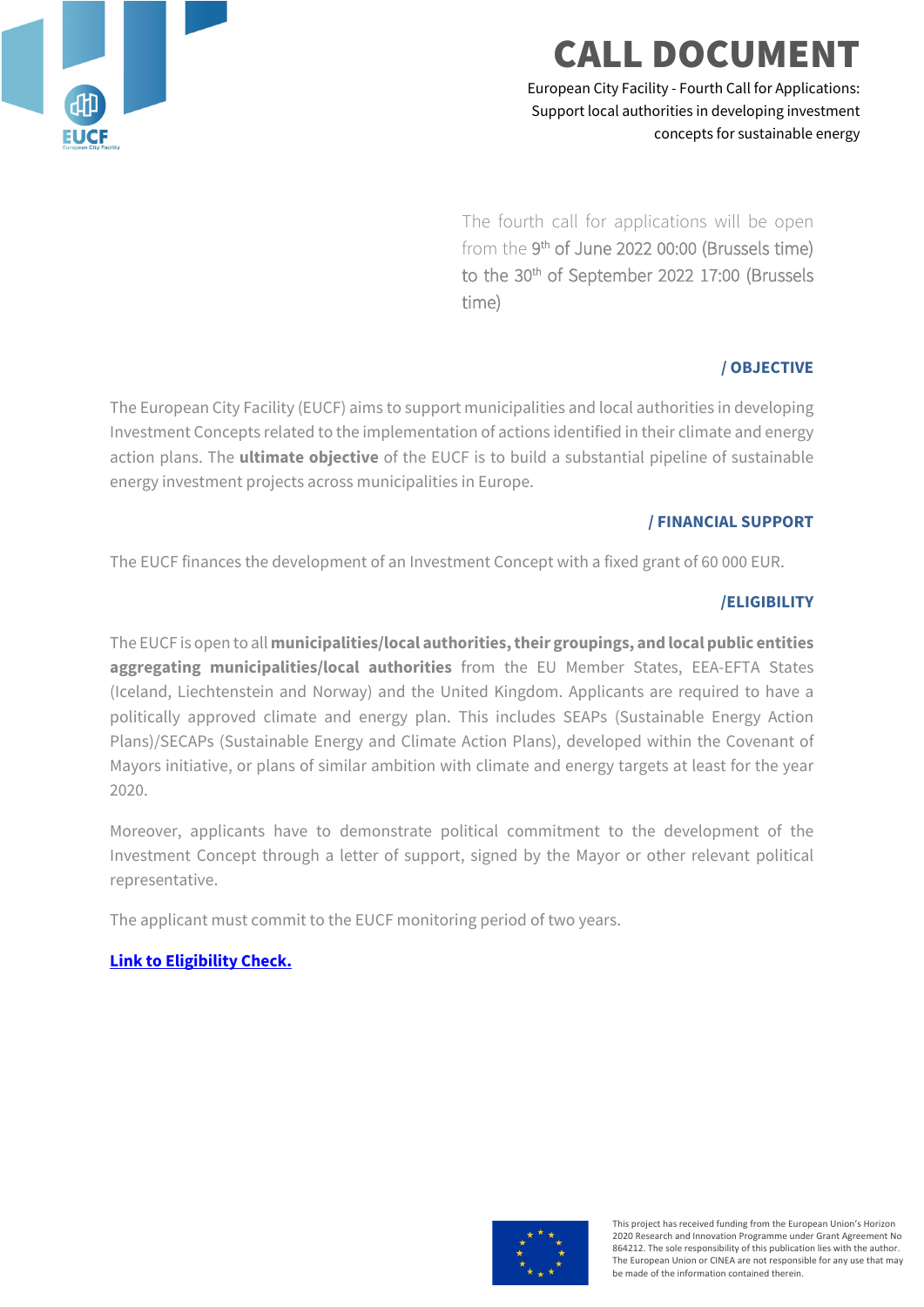

## **CALL DOCUME**

European City Facility - Fourth Call for Applications: Support local authorities in developing investment concepts for sustainable energy

The fourth call for applications will be open from the 9th of June 2022 00:00 (Brussels time) to the 30th of September 2022 17:00 (Brussels time)

## **/ OBJECTIVE**

The European City Facility (EUCF) aims to support municipalities and local authorities in developing Investment Concepts related to the implementation of actions identified in their climate and energy action plans. The **ultimate objective** of the EUCF is to build a substantial pipeline of sustainable energy investment projects across municipalities in Europe.

## **/ FINANCIAL SUPPORT**

The EUCF finances the development of an Investment Concept with a fixed grant of 60 000 EUR.

## **/ELIGIBILITY**

The EUCF is open to all **municipalities/local authorities, their groupings, and local public entities aggregating municipalities/local authorities** from the EU Member States, EEA-EFTA States (Iceland, Liechtenstein and Norway) and the United Kingdom. Applicants are required to have a politically approved climate and energy plan. This includes SEAPs (Sustainable Energy Action Plans)/SECAPs (Sustainable Energy and Climate Action Plans), developed within the Covenant of Mayors initiative, or plans of similar ambition with climate and energy targets at least for the year 2020.

Moreover, applicants have to demonstrate political commitment to the development of the Investment Concept through a letter of support, signed by the Mayor or other relevant political representative.

The applicant must commit to the EUCF monitoring period of two years.

## **[Link to Eligibility Check.](https://www.eucityfacility.eu/calls/application-process.html)**



This project has received funding from the European Union's Horizon 2020 Research and Innovation Programme under Grant Agreement No 864212. The sole responsibility of this publication lies with the author. The European Union or CINEA are not responsible for any use that may be made of the information contained therein.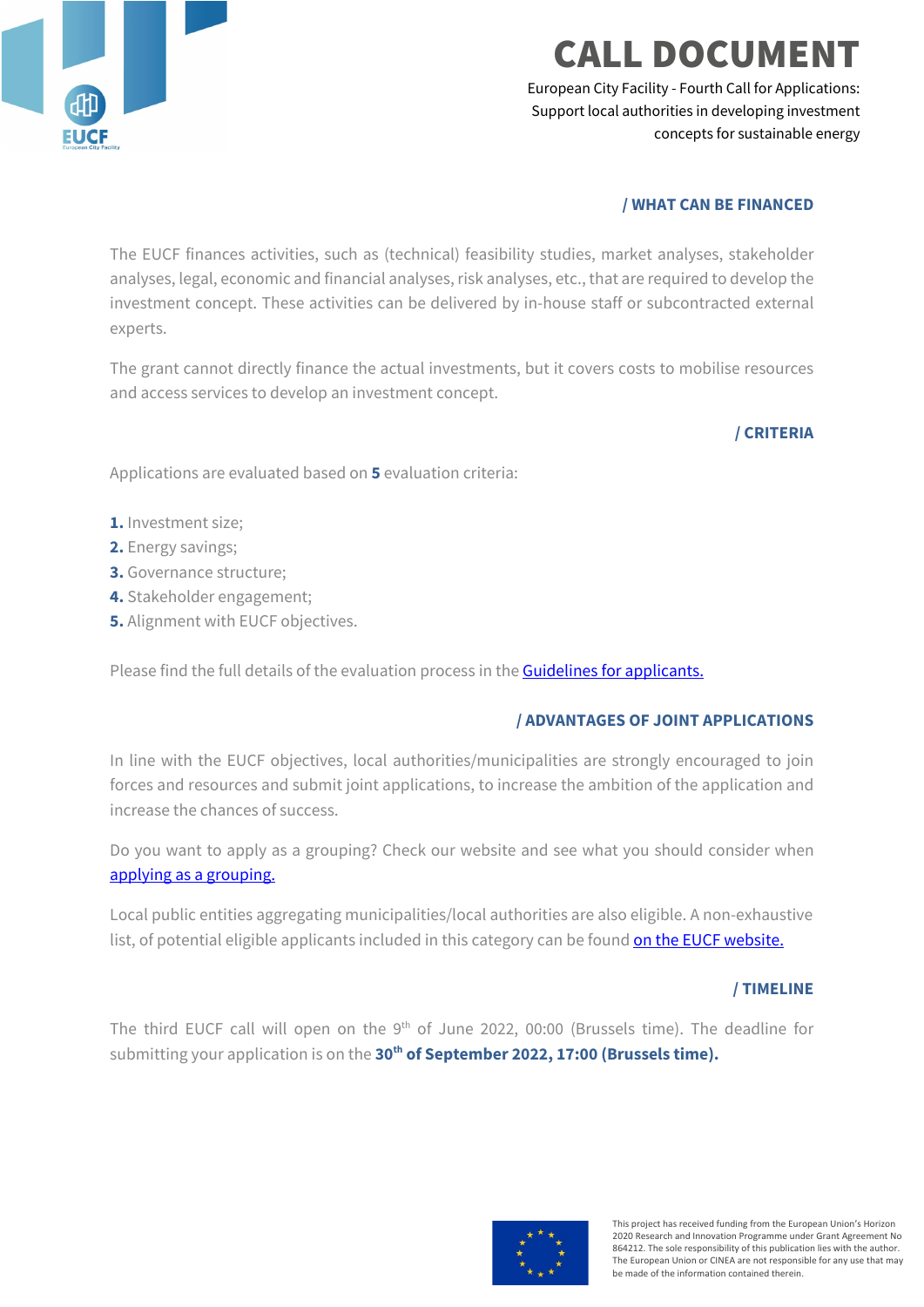

## ALL DOCUMENT

European City Facility - Fourth Call for Applications: Support local authorities in developing investment concepts for sustainable energy

## **/ WHAT CAN BE FINANCED**

The EUCF finances activities, such as (technical) feasibility studies, market analyses, stakeholder analyses, legal, economic and financial analyses, risk analyses, etc., that are required to develop the investment concept. These activities can be delivered by in-house staff or subcontracted external experts.

The grant cannot directly finance the actual investments, but it covers costs to mobilise resources and access services to develop an investment concept.

## **/ CRITERIA**

Applications are evaluated based on **5** evaluation criteria:

- **1.** Investment size;
- **2.** Energy savings;
- **3.** Governance structure;
- **4.** Stakeholder engagement;
- **5.** Alignment with EUCF objectives.

Please find the full details of the evaluation process in the **Guidelines for applicants.** 

#### **/ ADVANTAGES OF JOINT APPLICATIONS**

In line with the EUCF objectives, local authorities/municipalities are strongly encouraged to join forces and resources and submit joint applications, to increase the ambition of the application and increase the chances of success.

Do you want to apply as a grouping? Check our website and see what you should consider when [applying as a grouping.](https://www.eucityfacility.eu/calls/application-process.html)

Local public entities aggregating municipalities/local authorities are also eligible. A non-exhaustive list, of potential eligible applicants included in this category can be foun[d on the EUCF website.](https://www.eucityfacility.eu/calls/application-process.html)

#### **/ TIMELINE**

The third EUCF call will open on the 9<sup>th</sup> of June 2022, 00:00 (Brussels time). The deadline for submitting your application is on the 30<sup>th</sup> of September 2022, 17:00 (Brussels time).

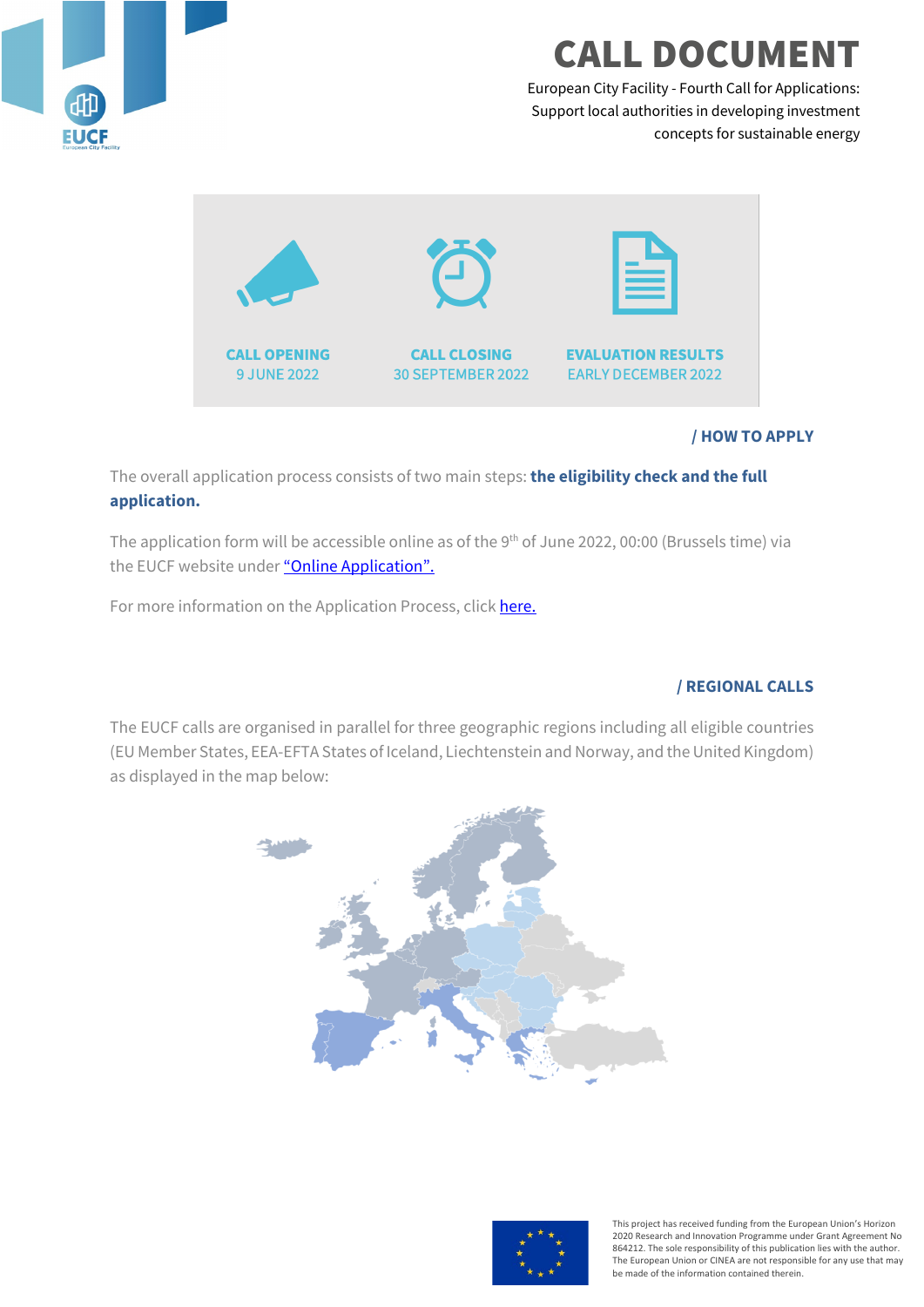

## **CALL DOCUMEI**

European City Facility - Fourth Call for Applications: Support local authorities in developing investment concepts for sustainable energy



## **/ HOW TO APPLY**

The overall application process consists of two main steps: **the eligibility check and the full application.** 

The application form will be accessible online as of the 9<sup>th</sup> of June 2022, 00:00 (Brussels time) via the EUCF website unde[r "Online Application".](https://www.eucityfacility.eu/calls/online-application.html)

For more information on the Application Process, click here.

## **/ REGIONAL CALLS**

The EUCF calls are organised in parallel for three geographic regions including all eligible countries (EU Member States, EEA-EFTA States of Iceland, Liechtenstein and Norway, and the United Kingdom) as displayed in the map below:





This project has received funding from the European Union's Horizon 2020 Research and Innovation Programme under Grant Agreement No 864212. The sole responsibility of this publication lies with the author. The European Union or CINEA are not responsible for any use that may be made of the information contained therein.